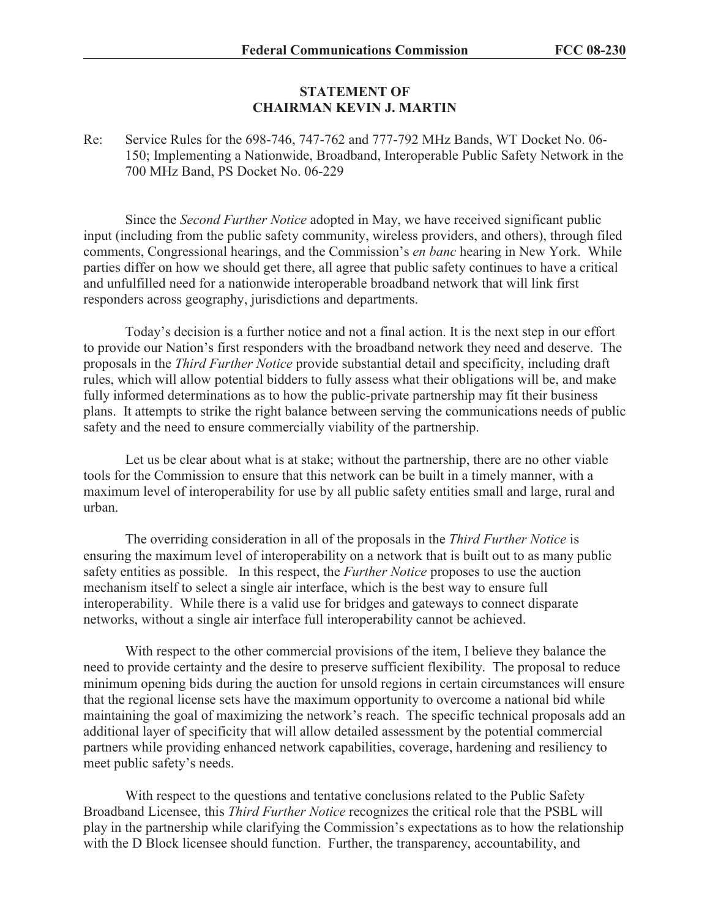## **STATEMENT OF CHAIRMAN KEVIN J. MARTIN**

## Re: Service Rules for the 698-746, 747-762 and 777-792 MHz Bands, WT Docket No. 06- 150; Implementing a Nationwide, Broadband, Interoperable Public Safety Network in the 700 MHz Band, PS Docket No. 06-229

Since the *Second Further Notice* adopted in May, we have received significant public input (including from the public safety community, wireless providers, and others), through filed comments, Congressional hearings, and the Commission's *en banc* hearing in New York. While parties differ on how we should get there, all agree that public safety continues to have a critical and unfulfilled need for a nationwide interoperable broadband network that will link first responders across geography, jurisdictions and departments.

Today's decision is a further notice and not a final action. It is the next step in our effort to provide our Nation's first responders with the broadband network they need and deserve. The proposals in the *Third Further Notice* provide substantial detail and specificity, including draft rules, which will allow potential bidders to fully assess what their obligations will be, and make fully informed determinations as to how the public-private partnership may fit their business plans. It attempts to strike the right balance between serving the communications needs of public safety and the need to ensure commercially viability of the partnership.

Let us be clear about what is at stake; without the partnership, there are no other viable tools for the Commission to ensure that this network can be built in a timely manner, with a maximum level of interoperability for use by all public safety entities small and large, rural and urban.

The overriding consideration in all of the proposals in the *Third Further Notice* is ensuring the maximum level of interoperability on a network that is built out to as many public safety entities as possible. In this respect, the *Further Notice* proposes to use the auction mechanism itself to select a single air interface, which is the best way to ensure full interoperability. While there is a valid use for bridges and gateways to connect disparate networks, without a single air interface full interoperability cannot be achieved.

With respect to the other commercial provisions of the item, I believe they balance the need to provide certainty and the desire to preserve sufficient flexibility. The proposal to reduce minimum opening bids during the auction for unsold regions in certain circumstances will ensure that the regional license sets have the maximum opportunity to overcome a national bid while maintaining the goal of maximizing the network's reach. The specific technical proposals add an additional layer of specificity that will allow detailed assessment by the potential commercial partners while providing enhanced network capabilities, coverage, hardening and resiliency to meet public safety's needs.

With respect to the questions and tentative conclusions related to the Public Safety Broadband Licensee, this *Third Further Notice* recognizes the critical role that the PSBL will play in the partnership while clarifying the Commission's expectations as to how the relationship with the D Block licensee should function. Further, the transparency, accountability, and